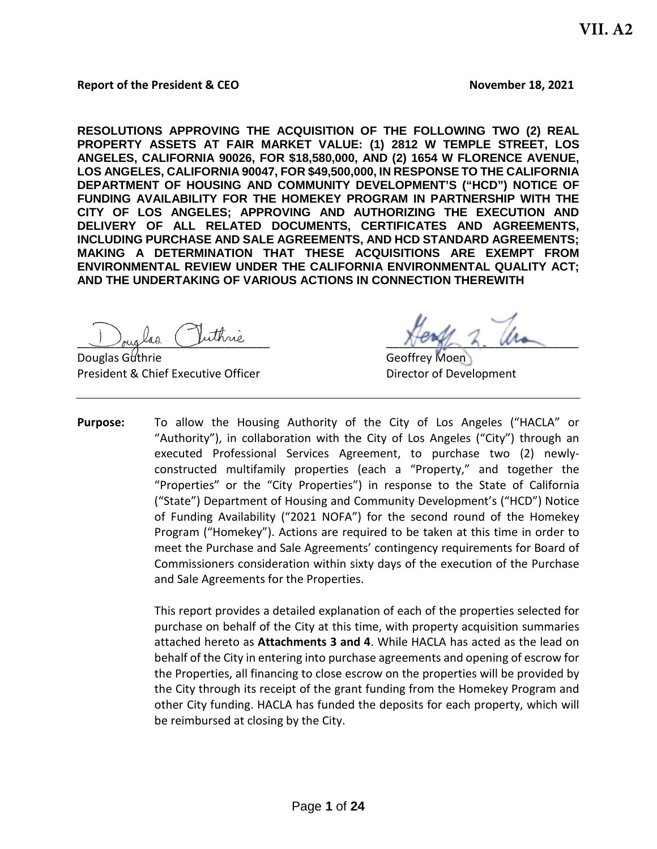#### **Report of the President & CEO November 18, 2021**

**RESOLUTIONS APPROVING THE ACQUISITION OF THE FOLLOWING TWO (2) REAL PROPERTY ASSETS AT FAIR MARKET VALUE: (1) 2812 W TEMPLE STREET, LOS ANGELES, CALIFORNIA 90026, FOR \$18,580,000, AND (2) 1654 W FLORENCE AVENUE, LOS ANGELES, CALIFORNIA 90047, FOR \$49,500,000, IN RESPONSE TO THE CALIFORNIA DEPARTMENT OF HOUSING AND COMMUNITY DEVELOPMENT'S ("HCD") NOTICE OF FUNDING AVAILABILITY FOR THE HOMEKEY PROGRAM IN PARTNERSHIP WITH THE CITY OF LOS ANGELES; APPROVING AND AUTHORIZING THE EXECUTION AND DELIVERY OF ALL RELATED DOCUMENTS, CERTIFICATES AND AGREEMENTS, INCLUDING PURCHASE AND SALE AGREEMENTS, AND HCD STANDARD AGREEMENTS; MAKING A DETERMINATION THAT THESE ACQUISITIONS ARE EXEMPT FROM ENVIRONMENTAL REVIEW UNDER THE CALIFORNIA ENVIRONMENTAL QUALITY ACT; AND THE UNDERTAKING OF VARIOUS ACTIONS IN CONNECTION THEREWITH**

buglas ruinne

Douglas Guthrie Communication Control of Geoffrey Moen President & Chief Executive Officer **Director of Development** 

**Purpose:** To allow the Housing Authority of the City of Los Angeles ("HACLA" or "Authority"), in collaboration with the City of Los Angeles ("City") through an executed Professional Services Agreement, to purchase two (2) newlyconstructed multifamily properties (each a "Property," and together the "Properties" or the "City Properties") in response to the State of California ("State") Department of Housing and Community Development's ("HCD") Notice of Funding Availability ("2021 NOFA") for the second round of the Homekey Program ("Homekey"). Actions are required to be taken at this time in order to meet the Purchase and Sale Agreements' contingency requirements for Board of Commissioners consideration within sixty days of the execution of the Purchase and Sale Agreements for the Properties.

> This report provides a detailed explanation of each of the properties selected for purchase on behalf of the City at this time, with property acquisition summaries attached hereto as **Attachments 3 and 4**. While HACLA has acted as the lead on behalf of the City in entering into purchase agreements and opening of escrow for the Properties, all financing to close escrow on the properties will be provided by the City through its receipt of the grant funding from the Homekey Program and other City funding. HACLA has funded the deposits for each property, which will be reimbursed at closing by the City.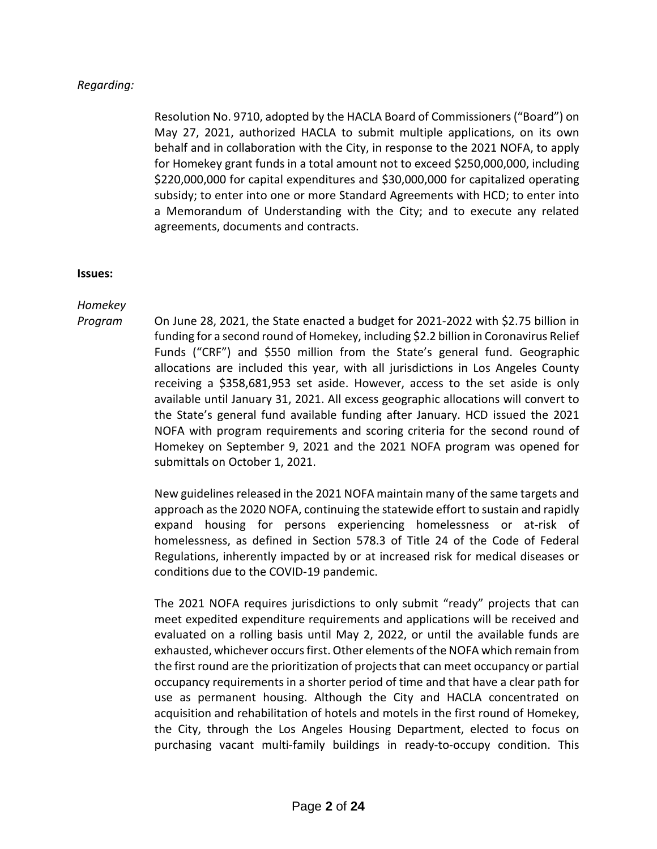# *Regarding:*

Resolution No. 9710, adopted by the HACLA Board of Commissioners ("Board") on May 27, 2021, authorized HACLA to submit multiple applications, on its own behalf and in collaboration with the City, in response to the 2021 NOFA, to apply for Homekey grant funds in a total amount not to exceed \$250,000,000, including \$220,000,000 for capital expenditures and \$30,000,000 for capitalized operating subsidy; to enter into one or more Standard Agreements with HCD; to enter into a Memorandum of Understanding with the City; and to execute any related agreements, documents and contracts.

#### **Issues:**

*Homekey* 

*Program* On June 28, 2021, the State enacted a budget for 2021-2022 with \$2.75 billion in funding for a second round of Homekey, including \$2.2 billion in Coronavirus Relief Funds ("CRF") and \$550 million from the State's general fund. Geographic allocations are included this year, with all jurisdictions in Los Angeles County receiving a \$358,681,953 set aside. However, access to the set aside is only available until January 31, 2021. All excess geographic allocations will convert to the State's general fund available funding after January. HCD issued the 2021 NOFA with program requirements and scoring criteria for the second round of Homekey on September 9, 2021 and the 2021 NOFA program was opened for submittals on October 1, 2021.

> New guidelines released in the 2021 NOFA maintain many of the same targets and approach as the 2020 NOFA, continuing the statewide effort to sustain and rapidly expand housing for persons experiencing homelessness or at-risk of homelessness, as defined in Section 578.3 of Title 24 of the Code of Federal Regulations, inherently impacted by or at increased risk for medical diseases or conditions due to the COVID-19 pandemic.

> The 2021 NOFA requires jurisdictions to only submit "ready" projects that can meet expedited expenditure requirements and applications will be received and evaluated on a rolling basis until May 2, 2022, or until the available funds are exhausted, whichever occurs first. Other elements of the NOFA which remain from the first round are the prioritization of projects that can meet occupancy or partial occupancy requirements in a shorter period of time and that have a clear path for use as permanent housing. Although the City and HACLA concentrated on acquisition and rehabilitation of hotels and motels in the first round of Homekey, the City, through the Los Angeles Housing Department, elected to focus on purchasing vacant multi-family buildings in ready-to-occupy condition. This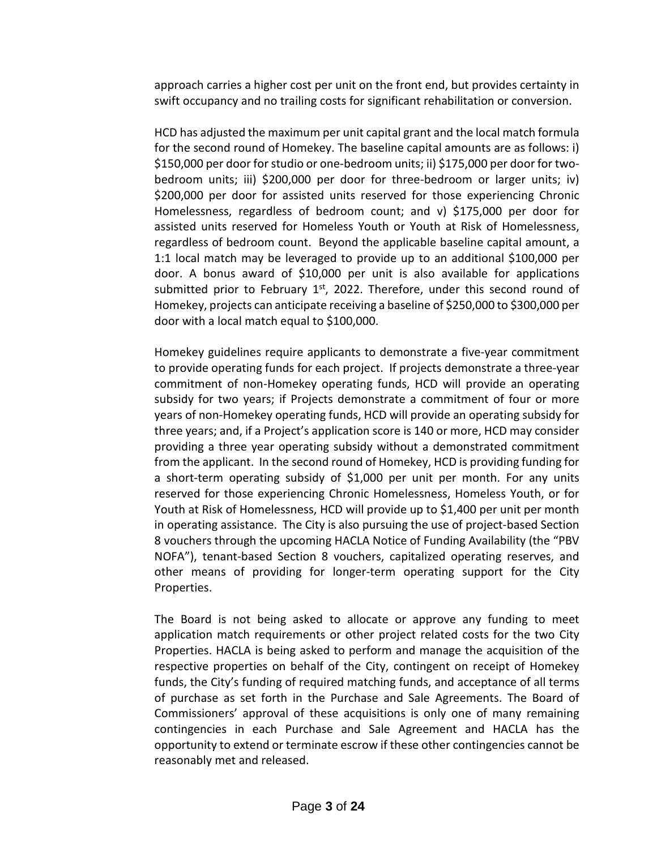approach carries a higher cost per unit on the front end, but provides certainty in swift occupancy and no trailing costs for significant rehabilitation or conversion.

HCD has adjusted the maximum per unit capital grant and the local match formula for the second round of Homekey. The baseline capital amounts are as follows: i) \$150,000 per door for studio or one-bedroom units; ii) \$175,000 per door for twobedroom units; iii) \$200,000 per door for three-bedroom or larger units; iv) \$200,000 per door for assisted units reserved for those experiencing Chronic Homelessness, regardless of bedroom count; and v) \$175,000 per door for assisted units reserved for Homeless Youth or Youth at Risk of Homelessness, regardless of bedroom count. Beyond the applicable baseline capital amount, a 1:1 local match may be leveraged to provide up to an additional \$100,000 per door. A bonus award of \$10,000 per unit is also available for applications submitted prior to February  $1<sup>st</sup>$ , 2022. Therefore, under this second round of Homekey, projects can anticipate receiving a baseline of \$250,000 to \$300,000 per door with a local match equal to \$100,000.

Homekey guidelines require applicants to demonstrate a five-year commitment to provide operating funds for each project. If projects demonstrate a three-year commitment of non-Homekey operating funds, HCD will provide an operating subsidy for two years; if Projects demonstrate a commitment of four or more years of non-Homekey operating funds, HCD will provide an operating subsidy for three years; and, if a Project's application score is 140 or more, HCD may consider providing a three year operating subsidy without a demonstrated commitment from the applicant. In the second round of Homekey, HCD is providing funding for a short-term operating subsidy of \$1,000 per unit per month. For any units reserved for those experiencing Chronic Homelessness, Homeless Youth, or for Youth at Risk of Homelessness, HCD will provide up to \$1,400 per unit per month in operating assistance. The City is also pursuing the use of project-based Section 8 vouchers through the upcoming HACLA Notice of Funding Availability (the "PBV NOFA"), tenant-based Section 8 vouchers, capitalized operating reserves, and other means of providing for longer-term operating support for the City Properties.

The Board is not being asked to allocate or approve any funding to meet application match requirements or other project related costs for the two City Properties. HACLA is being asked to perform and manage the acquisition of the respective properties on behalf of the City, contingent on receipt of Homekey funds, the City's funding of required matching funds, and acceptance of all terms of purchase as set forth in the Purchase and Sale Agreements. The Board of Commissioners' approval of these acquisitions is only one of many remaining contingencies in each Purchase and Sale Agreement and HACLA has the opportunity to extend or terminate escrow if these other contingencies cannot be reasonably met and released.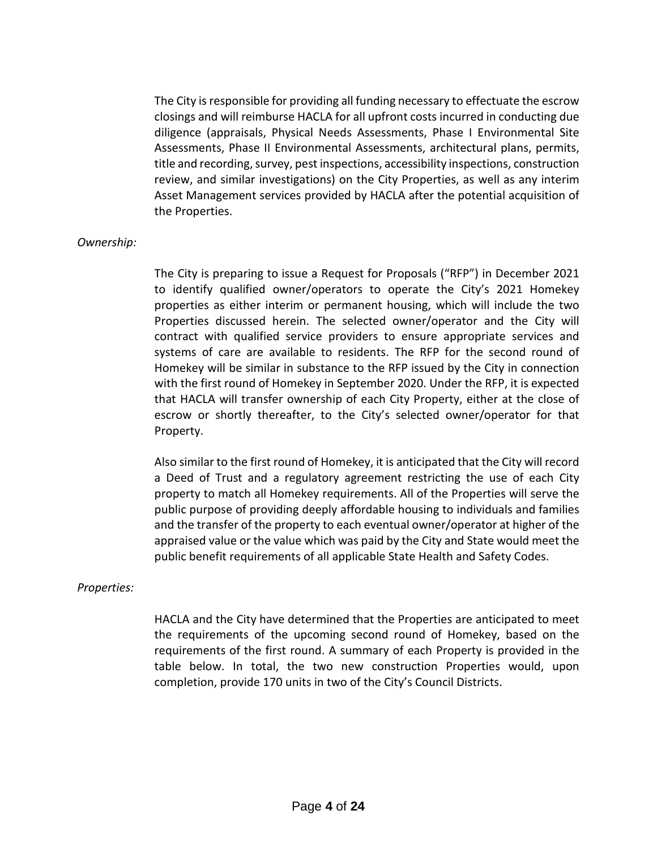The City is responsible for providing all funding necessary to effectuate the escrow closings and will reimburse HACLA for all upfront costs incurred in conducting due diligence (appraisals, Physical Needs Assessments, Phase I Environmental Site Assessments, Phase II Environmental Assessments, architectural plans, permits, title and recording, survey, pest inspections, accessibility inspections, construction review, and similar investigations) on the City Properties, as well as any interim Asset Management services provided by HACLA after the potential acquisition of the Properties.

### *Ownership:*

The City is preparing to issue a Request for Proposals ("RFP") in December 2021 to identify qualified owner/operators to operate the City's 2021 Homekey properties as either interim or permanent housing, which will include the two Properties discussed herein. The selected owner/operator and the City will contract with qualified service providers to ensure appropriate services and systems of care are available to residents. The RFP for the second round of Homekey will be similar in substance to the RFP issued by the City in connection with the first round of Homekey in September 2020. Under the RFP, it is expected that HACLA will transfer ownership of each City Property, either at the close of escrow or shortly thereafter, to the City's selected owner/operator for that Property.

Also similar to the first round of Homekey, it is anticipated that the City will record a Deed of Trust and a regulatory agreement restricting the use of each City property to match all Homekey requirements. All of the Properties will serve the public purpose of providing deeply affordable housing to individuals and families and the transfer of the property to each eventual owner/operator at higher of the appraised value or the value which was paid by the City and State would meet the public benefit requirements of all applicable State Health and Safety Codes.

#### *Properties:*

HACLA and the City have determined that the Properties are anticipated to meet the requirements of the upcoming second round of Homekey, based on the requirements of the first round. A summary of each Property is provided in the table below. In total, the two new construction Properties would, upon completion, provide 170 units in two of the City's Council Districts.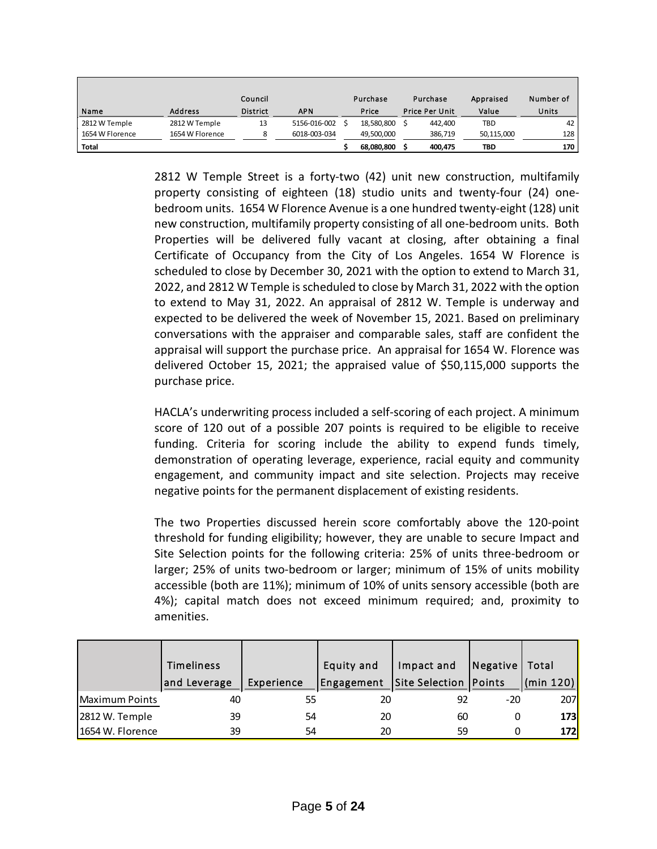|                 |                 | Council         |              | Purchase   | Purchase              | Appraised  | Number of |
|-----------------|-----------------|-----------------|--------------|------------|-----------------------|------------|-----------|
| Name            | <b>Address</b>  | <b>District</b> | <b>APN</b>   | Price      | <b>Price Per Unit</b> | Value      | Units     |
| 2812 W Temple   | 2812 W Temple   | 13              | 5156-016-002 | 18,580,800 | 442.400               | TBD        | 42        |
| 1654 W Florence | 1654 W Florence | 8               | 6018-003-034 | 49,500,000 | 386,719               | 50,115,000 | 128       |
| <b>Total</b>    |                 |                 |              | 68,080,800 | 400,475               | TBD        | 170       |

2812 W Temple Street is a forty-two (42) unit new construction, multifamily property consisting of eighteen (18) studio units and twenty-four (24) onebedroom units. 1654 W Florence Avenue is a one hundred twenty-eight (128) unit new construction, multifamily property consisting of all one-bedroom units. Both Properties will be delivered fully vacant at closing, after obtaining a final Certificate of Occupancy from the City of Los Angeles. 1654 W Florence is scheduled to close by December 30, 2021 with the option to extend to March 31, 2022, and 2812 W Temple is scheduled to close by March 31, 2022 with the option to extend to May 31, 2022. An appraisal of 2812 W. Temple is underway and expected to be delivered the week of November 15, 2021. Based on preliminary conversations with the appraiser and comparable sales, staff are confident the appraisal will support the purchase price. An appraisal for 1654 W. Florence was delivered October 15, 2021; the appraised value of \$50,115,000 supports the purchase price.

HACLA's underwriting process included a self-scoring of each project. A minimum score of 120 out of a possible 207 points is required to be eligible to receive funding. Criteria for scoring include the ability to expend funds timely, demonstration of operating leverage, experience, racial equity and community engagement, and community impact and site selection. Projects may receive negative points for the permanent displacement of existing residents.

The two Properties discussed herein score comfortably above the 120-point threshold for funding eligibility; however, they are unable to secure Impact and Site Selection points for the following criteria: 25% of units three-bedroom or larger; 25% of units two-bedroom or larger; minimum of 15% of units mobility accessible (both are 11%); minimum of 10% of units sensory accessible (both are 4%); capital match does not exceed minimum required; and, proximity to amenities.

|                   | Timeliness   |            | Equity and | Impact and              | Negative | Total      |
|-------------------|--------------|------------|------------|-------------------------|----------|------------|
|                   | and Leverage | Experience | Engagement | Site Selection   Points |          | (min 120)  |
| Maximum Points    | 40           | 55         | 20         | 92                      | -20      | 207        |
| 2812 W. Temple    | 39           | 54         | 20         | 60                      |          | <b>173</b> |
| l1654 W. Florence | 39           | 54         | 20         | 59                      |          | 172        |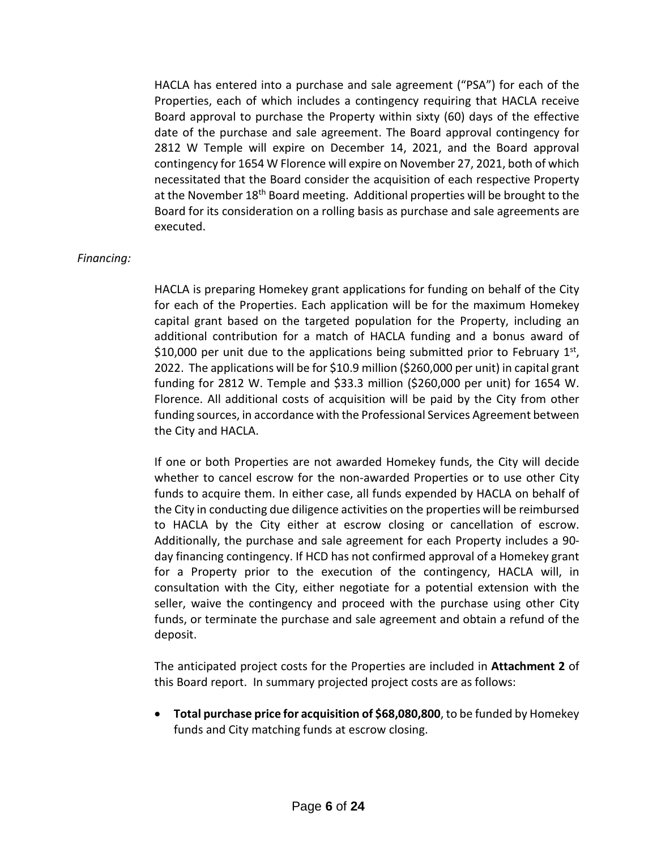HACLA has entered into a purchase and sale agreement ("PSA") for each of the Properties, each of which includes a contingency requiring that HACLA receive Board approval to purchase the Property within sixty (60) days of the effective date of the purchase and sale agreement. The Board approval contingency for 2812 W Temple will expire on December 14, 2021, and the Board approval contingency for 1654 W Florence will expire on November 27, 2021, both of which necessitated that the Board consider the acquisition of each respective Property at the November 18<sup>th</sup> Board meeting. Additional properties will be brought to the Board for its consideration on a rolling basis as purchase and sale agreements are executed.

## *Financing:*

HACLA is preparing Homekey grant applications for funding on behalf of the City for each of the Properties. Each application will be for the maximum Homekey capital grant based on the targeted population for the Property, including an additional contribution for a match of HACLA funding and a bonus award of \$10,000 per unit due to the applications being submitted prior to February  $1<sup>st</sup>$ , 2022. The applications will be for \$10.9 million (\$260,000 per unit) in capital grant funding for 2812 W. Temple and \$33.3 million (\$260,000 per unit) for 1654 W. Florence. All additional costs of acquisition will be paid by the City from other funding sources, in accordance with the Professional Services Agreement between the City and HACLA.

If one or both Properties are not awarded Homekey funds, the City will decide whether to cancel escrow for the non-awarded Properties or to use other City funds to acquire them. In either case, all funds expended by HACLA on behalf of the City in conducting due diligence activities on the properties will be reimbursed to HACLA by the City either at escrow closing or cancellation of escrow. Additionally, the purchase and sale agreement for each Property includes a 90 day financing contingency. If HCD has not confirmed approval of a Homekey grant for a Property prior to the execution of the contingency, HACLA will, in consultation with the City, either negotiate for a potential extension with the seller, waive the contingency and proceed with the purchase using other City funds, or terminate the purchase and sale agreement and obtain a refund of the deposit.

The anticipated project costs for the Properties are included in **Attachment 2** of this Board report. In summary projected project costs are as follows:

• **Total purchase price for acquisition of \$68,080,800**, to be funded by Homekey funds and City matching funds at escrow closing.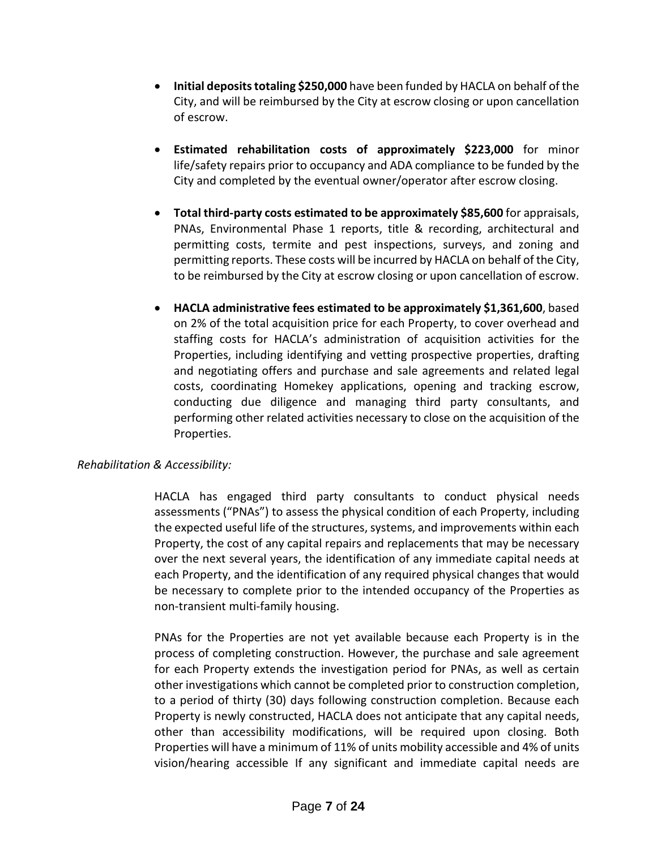- **•** Initial deposits totaling \$250,000 have been funded by HACLA on behalf of the City, and will be reimbursed by the City at escrow closing or upon cancellation of escrow.
- **Estimated rehabilitation costs of approximately \$223,000** for minor life/safety repairs prior to occupancy and ADA compliance to be funded by the City and completed by the eventual owner/operator after escrow closing.
- **Total third-party costs estimated to be approximately \$85,600** for appraisals, PNAs, Environmental Phase 1 reports, title & recording, architectural and permitting costs, termite and pest inspections, surveys, and zoning and permitting reports. These costs will be incurred by HACLA on behalf of the City, to be reimbursed by the City at escrow closing or upon cancellation of escrow.
- **HACLA administrative fees estimated to be approximately \$1,361,600**, based on 2% of the total acquisition price for each Property, to cover overhead and staffing costs for HACLA's administration of acquisition activities for the Properties, including identifying and vetting prospective properties, drafting and negotiating offers and purchase and sale agreements and related legal costs, coordinating Homekey applications, opening and tracking escrow, conducting due diligence and managing third party consultants, and performing other related activities necessary to close on the acquisition of the Properties.

## *Rehabilitation & Accessibility:*

HACLA has engaged third party consultants to conduct physical needs assessments ("PNAs") to assess the physical condition of each Property, including the expected useful life of the structures, systems, and improvements within each Property, the cost of any capital repairs and replacements that may be necessary over the next several years, the identification of any immediate capital needs at each Property, and the identification of any required physical changes that would be necessary to complete prior to the intended occupancy of the Properties as non-transient multi-family housing.

PNAs for the Properties are not yet available because each Property is in the process of completing construction. However, the purchase and sale agreement for each Property extends the investigation period for PNAs, as well as certain other investigations which cannot be completed prior to construction completion, to a period of thirty (30) days following construction completion. Because each Property is newly constructed, HACLA does not anticipate that any capital needs, other than accessibility modifications, will be required upon closing. Both Properties will have a minimum of 11% of units mobility accessible and 4% of units vision/hearing accessible If any significant and immediate capital needs are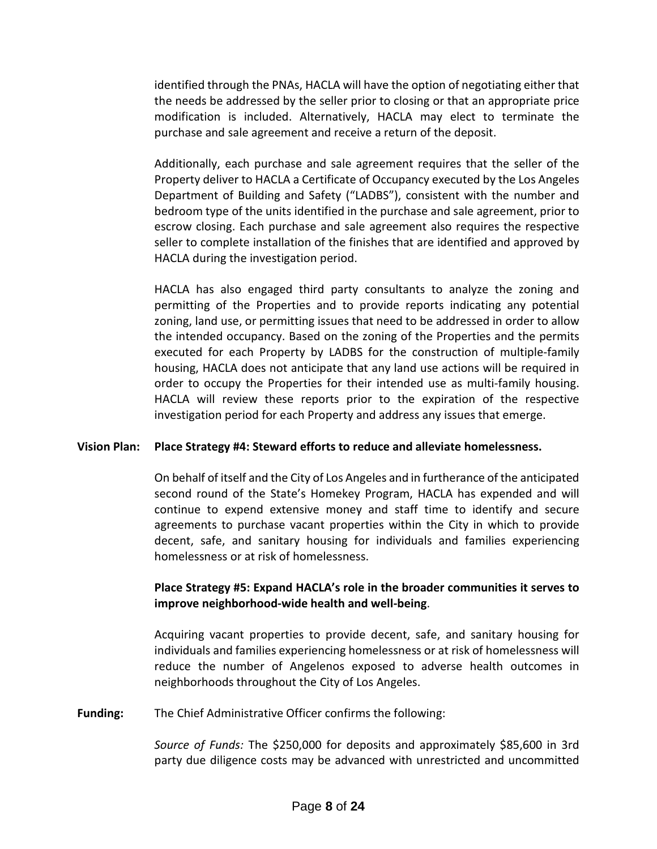identified through the PNAs, HACLA will have the option of negotiating either that the needs be addressed by the seller prior to closing or that an appropriate price modification is included. Alternatively, HACLA may elect to terminate the purchase and sale agreement and receive a return of the deposit.

Additionally, each purchase and sale agreement requires that the seller of the Property deliver to HACLA a Certificate of Occupancy executed by the Los Angeles Department of Building and Safety ("LADBS"), consistent with the number and bedroom type of the units identified in the purchase and sale agreement, prior to escrow closing. Each purchase and sale agreement also requires the respective seller to complete installation of the finishes that are identified and approved by HACLA during the investigation period.

HACLA has also engaged third party consultants to analyze the zoning and permitting of the Properties and to provide reports indicating any potential zoning, land use, or permitting issues that need to be addressed in order to allow the intended occupancy. Based on the zoning of the Properties and the permits executed for each Property by LADBS for the construction of multiple-family housing, HACLA does not anticipate that any land use actions will be required in order to occupy the Properties for their intended use as multi-family housing. HACLA will review these reports prior to the expiration of the respective investigation period for each Property and address any issues that emerge.

## **Vision Plan: Place Strategy #4: Steward efforts to reduce and alleviate homelessness.**

On behalf of itself and the City of Los Angeles and in furtherance of the anticipated second round of the State's Homekey Program, HACLA has expended and will continue to expend extensive money and staff time to identify and secure agreements to purchase vacant properties within the City in which to provide decent, safe, and sanitary housing for individuals and families experiencing homelessness or at risk of homelessness.

# **Place Strategy #5: Expand HACLA's role in the broader communities it serves to improve neighborhood-wide health and well-being**.

Acquiring vacant properties to provide decent, safe, and sanitary housing for individuals and families experiencing homelessness or at risk of homelessness will reduce the number of Angelenos exposed to adverse health outcomes in neighborhoods throughout the City of Los Angeles.

**Funding:** The Chief Administrative Officer confirms the following:

*Source of Funds:* The \$250,000 for deposits and approximately \$85,600 in 3rd party due diligence costs may be advanced with unrestricted and uncommitted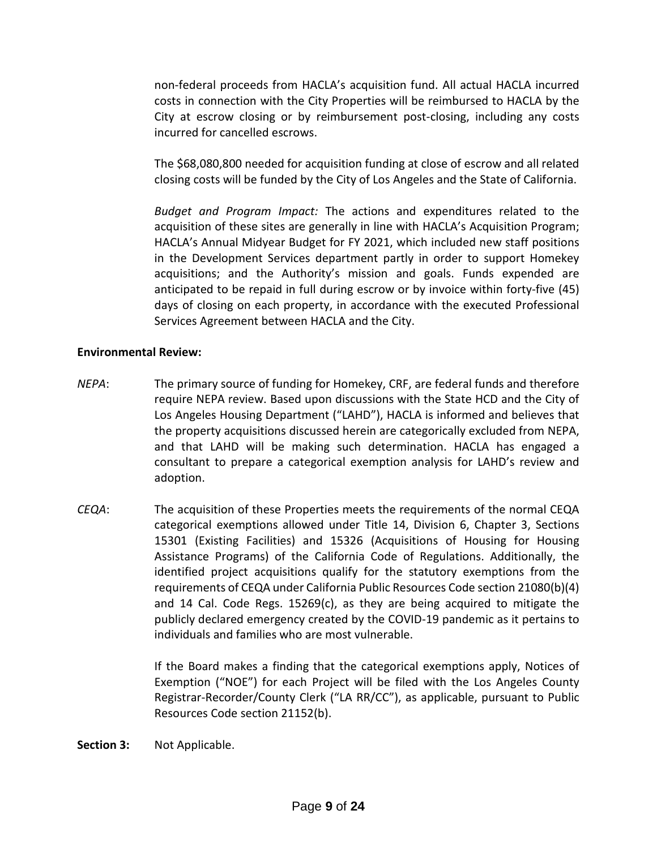non-federal proceeds from HACLA's acquisition fund. All actual HACLA incurred costs in connection with the City Properties will be reimbursed to HACLA by the City at escrow closing or by reimbursement post-closing, including any costs incurred for cancelled escrows.

The \$68,080,800 needed for acquisition funding at close of escrow and all related closing costs will be funded by the City of Los Angeles and the State of California.

*Budget and Program Impact:* The actions and expenditures related to the acquisition of these sites are generally in line with HACLA's Acquisition Program; HACLA's Annual Midyear Budget for FY 2021, which included new staff positions in the Development Services department partly in order to support Homekey acquisitions; and the Authority's mission and goals. Funds expended are anticipated to be repaid in full during escrow or by invoice within forty-five (45) days of closing on each property, in accordance with the executed Professional Services Agreement between HACLA and the City.

### **Environmental Review:**

- *NEPA*: The primary source of funding for Homekey, CRF, are federal funds and therefore require NEPA review. Based upon discussions with the State HCD and the City of Los Angeles Housing Department ("LAHD"), HACLA is informed and believes that the property acquisitions discussed herein are categorically excluded from NEPA, and that LAHD will be making such determination. HACLA has engaged a consultant to prepare a categorical exemption analysis for LAHD's review and adoption.
- *CEQA*: The acquisition of these Properties meets the requirements of the normal CEQA categorical exemptions allowed under Title 14, Division 6, Chapter 3, Sections 15301 (Existing Facilities) and 15326 (Acquisitions of Housing for Housing Assistance Programs) of the California Code of Regulations. Additionally, the identified project acquisitions qualify for the statutory exemptions from the requirements of CEQA under California Public Resources Code section 21080(b)(4) and 14 Cal. Code Regs. 15269(c), as they are being acquired to mitigate the publicly declared emergency created by the COVID-19 pandemic as it pertains to individuals and families who are most vulnerable.

If the Board makes a finding that the categorical exemptions apply, Notices of Exemption ("NOE") for each Project will be filed with the Los Angeles County Registrar-Recorder/County Clerk ("LA RR/CC"), as applicable, pursuant to Public Resources Code section 21152(b).

**Section 3:** Not Applicable.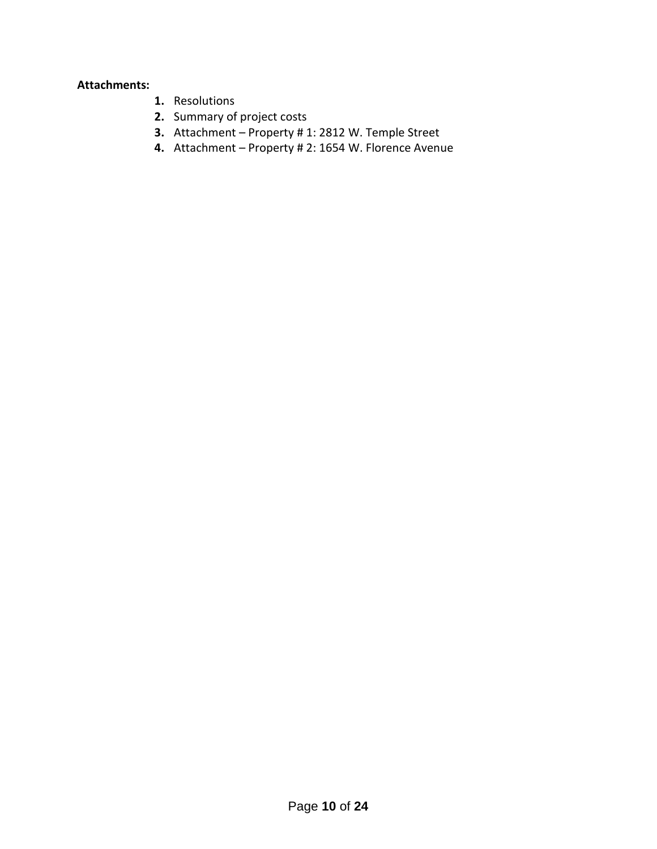## **Attachments:**

- **1.** Resolutions
- **2.** Summary of project costs
- **3.** Attachment Property # 1: 2812 W. Temple Street
- **4.** Attachment Property # 2: 1654 W. Florence Avenue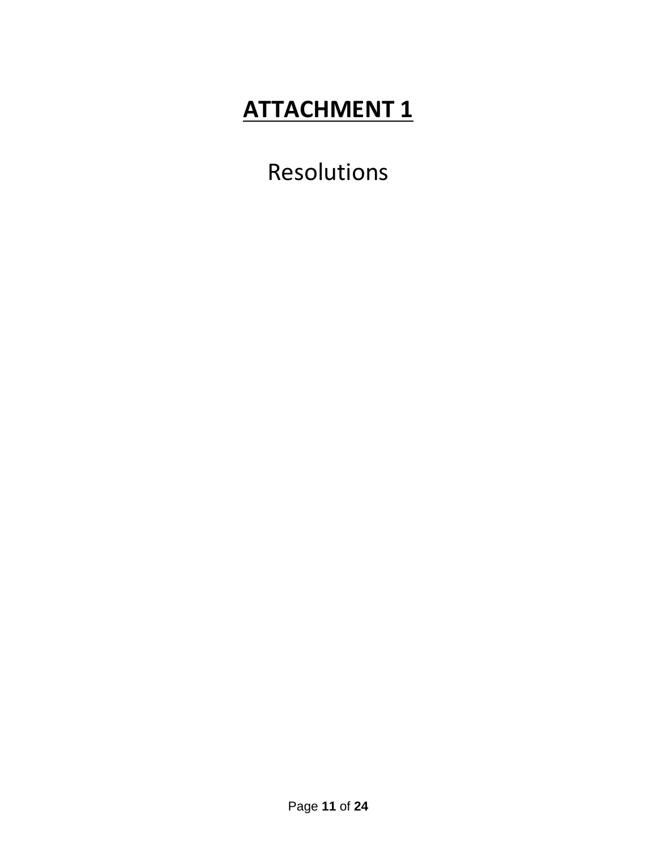Resolutions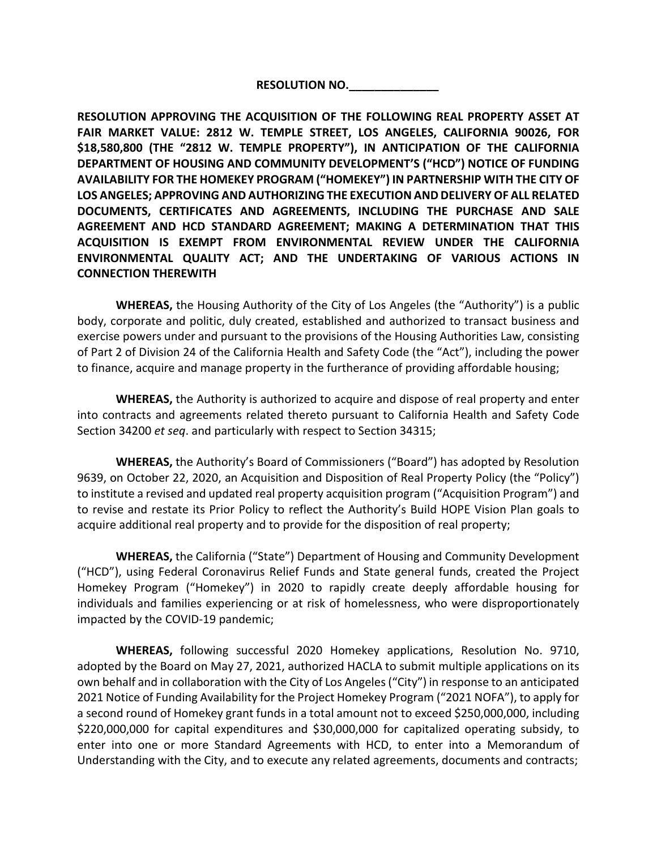**RESOLUTION NO.\_\_\_\_\_\_\_\_\_\_\_\_\_\_**

**RESOLUTION APPROVING THE ACQUISITION OF THE FOLLOWING REAL PROPERTY ASSET AT FAIR MARKET VALUE: 2812 W. TEMPLE STREET, LOS ANGELES, CALIFORNIA 90026, FOR \$18,580,800 (THE "2812 W. TEMPLE PROPERTY"), IN ANTICIPATION OF THE CALIFORNIA DEPARTMENT OF HOUSING AND COMMUNITY DEVELOPMENT'S ("HCD") NOTICE OF FUNDING AVAILABILITY FOR THE HOMEKEY PROGRAM ("HOMEKEY") IN PARTNERSHIP WITH THE CITY OF LOS ANGELES; APPROVING AND AUTHORIZING THE EXECUTION AND DELIVERY OF ALL RELATED DOCUMENTS, CERTIFICATES AND AGREEMENTS, INCLUDING THE PURCHASE AND SALE AGREEMENT AND HCD STANDARD AGREEMENT; MAKING A DETERMINATION THAT THIS ACQUISITION IS EXEMPT FROM ENVIRONMENTAL REVIEW UNDER THE CALIFORNIA ENVIRONMENTAL QUALITY ACT; AND THE UNDERTAKING OF VARIOUS ACTIONS IN CONNECTION THEREWITH**

**WHEREAS,** the Housing Authority of the City of Los Angeles (the "Authority") is a public body, corporate and politic, duly created, established and authorized to transact business and exercise powers under and pursuant to the provisions of the Housing Authorities Law, consisting of Part 2 of Division 24 of the California Health and Safety Code (the "Act"), including the power to finance, acquire and manage property in the furtherance of providing affordable housing;

**WHEREAS,** the Authority is authorized to acquire and dispose of real property and enter into contracts and agreements related thereto pursuant to California Health and Safety Code Section 34200 *et seq*. and particularly with respect to Section 34315;

**WHEREAS,** the Authority's Board of Commissioners ("Board") has adopted by Resolution 9639, on October 22, 2020, an Acquisition and Disposition of Real Property Policy (the "Policy") to institute a revised and updated real property acquisition program ("Acquisition Program") and to revise and restate its Prior Policy to reflect the Authority's Build HOPE Vision Plan goals to acquire additional real property and to provide for the disposition of real property;

**WHEREAS,** the California ("State") Department of Housing and Community Development ("HCD"), using Federal Coronavirus Relief Funds and State general funds, created the Project Homekey Program ("Homekey") in 2020 to rapidly create deeply affordable housing for individuals and families experiencing or at risk of homelessness, who were disproportionately impacted by the COVID-19 pandemic;

**WHEREAS,** following successful 2020 Homekey applications, Resolution No. 9710, adopted by the Board on May 27, 2021, authorized HACLA to submit multiple applications on its own behalf and in collaboration with the City of Los Angeles ("City") in response to an anticipated 2021 Notice of Funding Availability for the Project Homekey Program ("2021 NOFA"), to apply for a second round of Homekey grant funds in a total amount not to exceed \$250,000,000, including \$220,000,000 for capital expenditures and \$30,000,000 for capitalized operating subsidy, to enter into one or more Standard Agreements with HCD, to enter into a Memorandum of Understanding with the City, and to execute any related agreements, documents and contracts;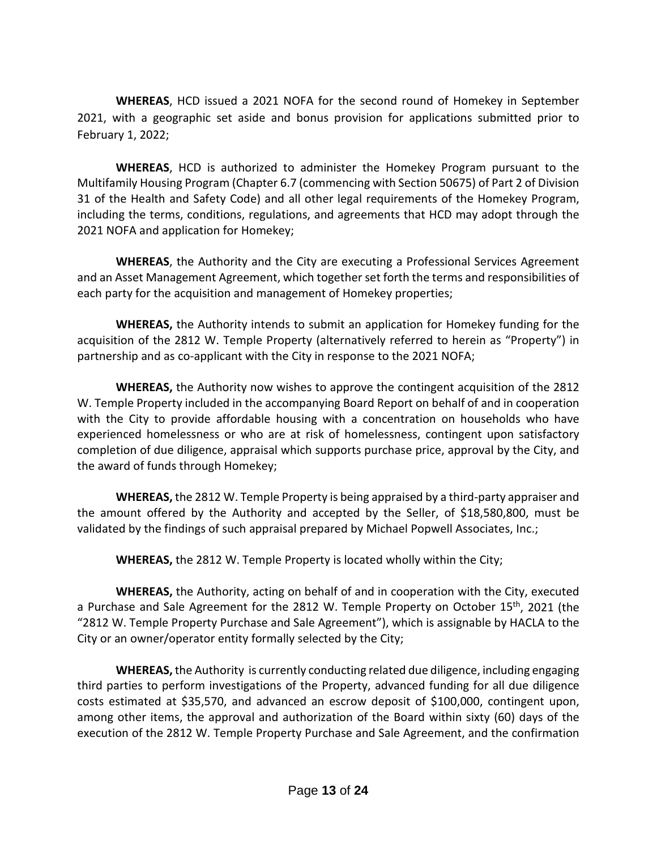**WHEREAS**, HCD issued a 2021 NOFA for the second round of Homekey in September 2021, with a geographic set aside and bonus provision for applications submitted prior to February 1, 2022;

**WHEREAS**, HCD is authorized to administer the Homekey Program pursuant to the Multifamily Housing Program (Chapter 6.7 (commencing with Section 50675) of Part 2 of Division 31 of the Health and Safety Code) and all other legal requirements of the Homekey Program, including the terms, conditions, regulations, and agreements that HCD may adopt through the 2021 NOFA and application for Homekey;

**WHEREAS**, the Authority and the City are executing a Professional Services Agreement and an Asset Management Agreement, which together set forth the terms and responsibilities of each party for the acquisition and management of Homekey properties;

**WHEREAS,** the Authority intends to submit an application for Homekey funding for the acquisition of the 2812 W. Temple Property (alternatively referred to herein as "Property") in partnership and as co-applicant with the City in response to the 2021 NOFA;

**WHEREAS,** the Authority now wishes to approve the contingent acquisition of the 2812 W. Temple Property included in the accompanying Board Report on behalf of and in cooperation with the City to provide affordable housing with a concentration on households who have experienced homelessness or who are at risk of homelessness, contingent upon satisfactory completion of due diligence, appraisal which supports purchase price, approval by the City, and the award of funds through Homekey;

**WHEREAS,** the 2812 W. Temple Property is being appraised by a third-party appraiser and the amount offered by the Authority and accepted by the Seller, of \$18,580,800, must be validated by the findings of such appraisal prepared by Michael Popwell Associates, Inc.;

**WHEREAS,** the 2812 W. Temple Property is located wholly within the City;

**WHEREAS,** the Authority, acting on behalf of and in cooperation with the City, executed a Purchase and Sale Agreement for the 2812 W. Temple Property on October 15<sup>th</sup>, 2021 (the "2812 W. Temple Property Purchase and Sale Agreement"), which is assignable by HACLA to the City or an owner/operator entity formally selected by the City;

**WHEREAS,** the Authority is currently conducting related due diligence, including engaging third parties to perform investigations of the Property, advanced funding for all due diligence costs estimated at \$35,570, and advanced an escrow deposit of \$100,000, contingent upon, among other items, the approval and authorization of the Board within sixty (60) days of the execution of the 2812 W. Temple Property Purchase and Sale Agreement, and the confirmation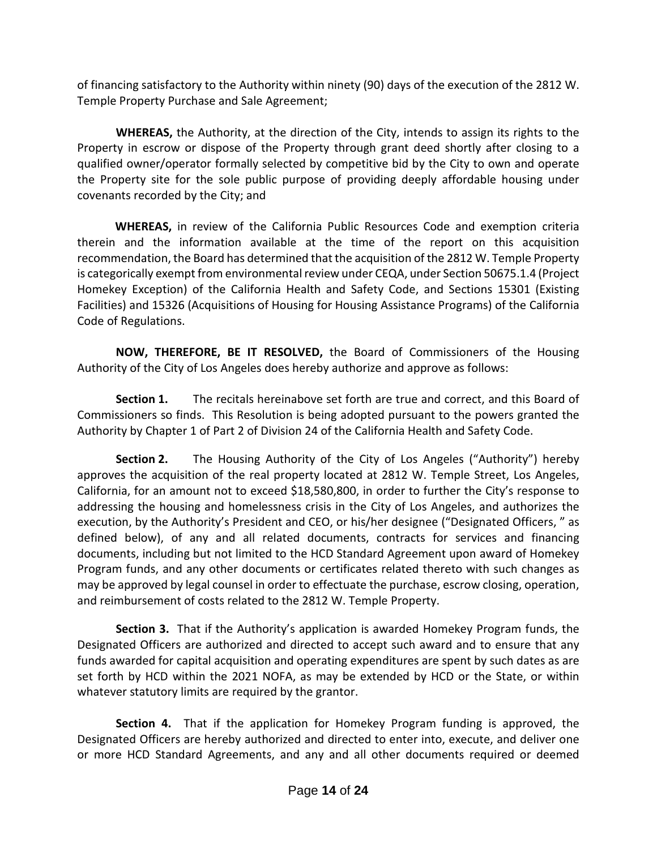of financing satisfactory to the Authority within ninety (90) days of the execution of the 2812 W. Temple Property Purchase and Sale Agreement;

**WHEREAS,** the Authority, at the direction of the City, intends to assign its rights to the Property in escrow or dispose of the Property through grant deed shortly after closing to a qualified owner/operator formally selected by competitive bid by the City to own and operate the Property site for the sole public purpose of providing deeply affordable housing under covenants recorded by the City; and

 **WHEREAS,** in review of the California Public Resources Code and exemption criteria therein and the information available at the time of the report on this acquisition recommendation, the Board has determined that the acquisition of the 2812 W. Temple Property is categorically exempt from environmental review under CEQA, under Section 50675.1.4 (Project Homekey Exception) of the California Health and Safety Code, and Sections 15301 (Existing Facilities) and 15326 (Acquisitions of Housing for Housing Assistance Programs) of the California Code of Regulations.

**NOW, THEREFORE, BE IT RESOLVED,** the Board of Commissioners of the Housing Authority of the City of Los Angeles does hereby authorize and approve as follows:

**Section 1.** The recitals hereinabove set forth are true and correct, and this Board of Commissioners so finds. This Resolution is being adopted pursuant to the powers granted the Authority by Chapter 1 of Part 2 of Division 24 of the California Health and Safety Code.

**Section 2.** The Housing Authority of the City of Los Angeles ("Authority") hereby approves the acquisition of the real property located at 2812 W. Temple Street, Los Angeles, California, for an amount not to exceed \$18,580,800, in order to further the City's response to addressing the housing and homelessness crisis in the City of Los Angeles, and authorizes the execution, by the Authority's President and CEO, or his/her designee ("Designated Officers, " as defined below), of any and all related documents, contracts for services and financing documents, including but not limited to the HCD Standard Agreement upon award of Homekey Program funds, and any other documents or certificates related thereto with such changes as may be approved by legal counsel in order to effectuate the purchase, escrow closing, operation, and reimbursement of costs related to the 2812 W. Temple Property.

**Section 3.** That if the Authority's application is awarded Homekey Program funds, the Designated Officers are authorized and directed to accept such award and to ensure that any funds awarded for capital acquisition and operating expenditures are spent by such dates as are set forth by HCD within the 2021 NOFA, as may be extended by HCD or the State, or within whatever statutory limits are required by the grantor.

**Section 4.** That if the application for Homekey Program funding is approved, the Designated Officers are hereby authorized and directed to enter into, execute, and deliver one or more HCD Standard Agreements, and any and all other documents required or deemed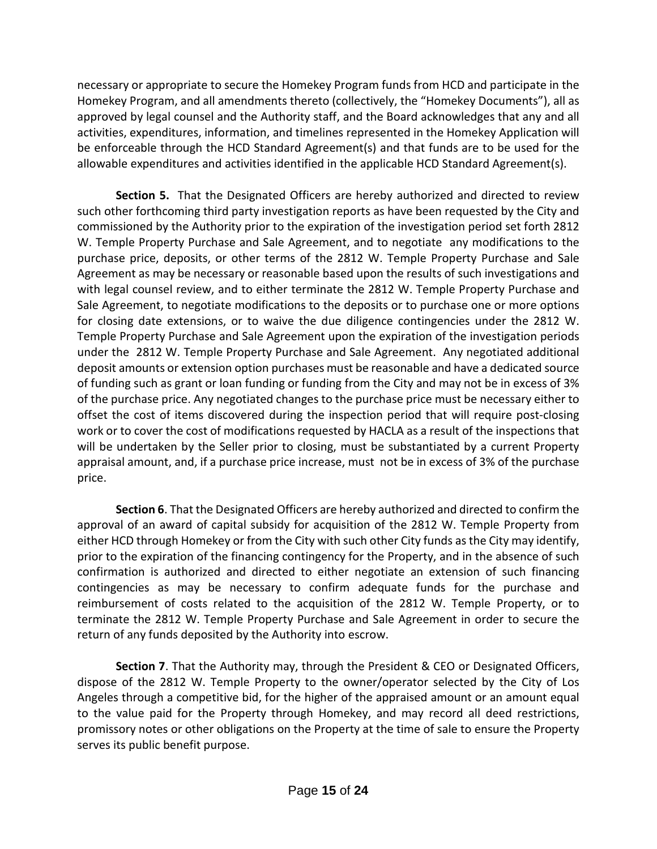necessary or appropriate to secure the Homekey Program funds from HCD and participate in the Homekey Program, and all amendments thereto (collectively, the "Homekey Documents"), all as approved by legal counsel and the Authority staff, and the Board acknowledges that any and all activities, expenditures, information, and timelines represented in the Homekey Application will be enforceable through the HCD Standard Agreement(s) and that funds are to be used for the allowable expenditures and activities identified in the applicable HCD Standard Agreement(s).

**Section 5.** That the Designated Officers are hereby authorized and directed to review such other forthcoming third party investigation reports as have been requested by the City and commissioned by the Authority prior to the expiration of the investigation period set forth 2812 W. Temple Property Purchase and Sale Agreement, and to negotiate any modifications to the purchase price, deposits, or other terms of the 2812 W. Temple Property Purchase and Sale Agreement as may be necessary or reasonable based upon the results of such investigations and with legal counsel review, and to either terminate the 2812 W. Temple Property Purchase and Sale Agreement, to negotiate modifications to the deposits or to purchase one or more options for closing date extensions, or to waive the due diligence contingencies under the 2812 W. Temple Property Purchase and Sale Agreement upon the expiration of the investigation periods under the 2812 W. Temple Property Purchase and Sale Agreement. Any negotiated additional deposit amounts or extension option purchases must be reasonable and have a dedicated source of funding such as grant or loan funding or funding from the City and may not be in excess of 3% of the purchase price. Any negotiated changes to the purchase price must be necessary either to offset the cost of items discovered during the inspection period that will require post-closing work or to cover the cost of modifications requested by HACLA as a result of the inspections that will be undertaken by the Seller prior to closing, must be substantiated by a current Property appraisal amount, and, if a purchase price increase, must not be in excess of 3% of the purchase price.

**Section 6**. That the Designated Officers are hereby authorized and directed to confirm the approval of an award of capital subsidy for acquisition of the 2812 W. Temple Property from either HCD through Homekey or from the City with such other City funds as the City may identify, prior to the expiration of the financing contingency for the Property, and in the absence of such confirmation is authorized and directed to either negotiate an extension of such financing contingencies as may be necessary to confirm adequate funds for the purchase and reimbursement of costs related to the acquisition of the 2812 W. Temple Property, or to terminate the 2812 W. Temple Property Purchase and Sale Agreement in order to secure the return of any funds deposited by the Authority into escrow.

**Section 7**. That the Authority may, through the President & CEO or Designated Officers, dispose of the 2812 W. Temple Property to the owner/operator selected by the City of Los Angeles through a competitive bid, for the higher of the appraised amount or an amount equal to the value paid for the Property through Homekey, and may record all deed restrictions, promissory notes or other obligations on the Property at the time of sale to ensure the Property serves its public benefit purpose.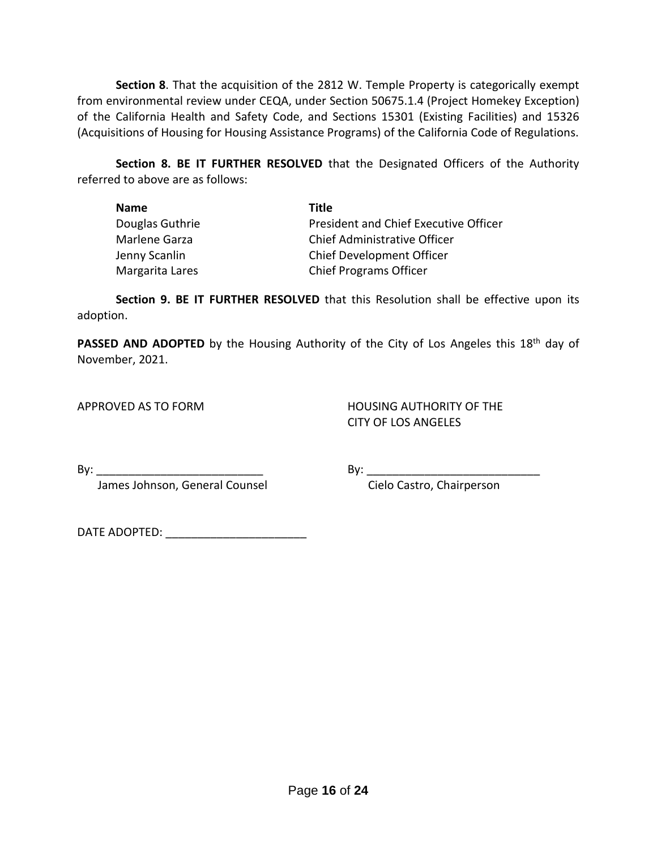**Section 8**. That the acquisition of the 2812 W. Temple Property is categorically exempt from environmental review under CEQA, under Section 50675.1.4 (Project Homekey Exception) of the California Health and Safety Code, and Sections 15301 (Existing Facilities) and 15326 (Acquisitions of Housing for Housing Assistance Programs) of the California Code of Regulations.

**Section 8. BE IT FURTHER RESOLVED** that the Designated Officers of the Authority referred to above are as follows:

| <b>Name</b>     | Title                                        |
|-----------------|----------------------------------------------|
| Douglas Guthrie | <b>President and Chief Executive Officer</b> |
| Marlene Garza   | Chief Administrative Officer                 |
| Jenny Scanlin   | <b>Chief Development Officer</b>             |
| Margarita Lares | <b>Chief Programs Officer</b>                |

**Section 9. BE IT FURTHER RESOLVED** that this Resolution shall be effective upon its adoption.

PASSED AND ADOPTED by the Housing Authority of the City of Los Angeles this 18<sup>th</sup> day of November, 2021.

APPROVED AS TO FORM HOUSING AUTHORITY OF THE CITY OF LOS ANGELES

By: \_\_\_\_\_\_\_\_\_\_\_\_\_\_\_\_\_\_\_\_\_\_\_\_\_\_ By: \_\_\_\_\_\_\_\_\_\_\_\_\_\_\_\_\_\_\_\_\_\_\_\_\_\_\_

James Johnson, General Counsel Cielo Castro, Chairperson

DATE ADOPTED: \_\_\_\_\_\_\_\_\_\_\_\_\_\_\_\_\_\_\_\_\_\_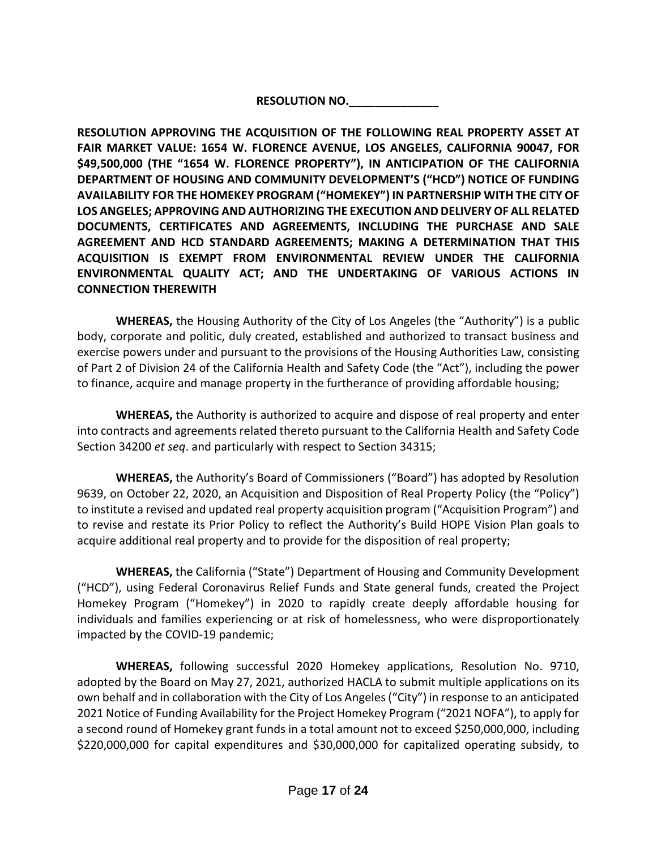**RESOLUTION NO.\_\_\_\_\_\_\_\_\_\_\_\_\_\_**

**RESOLUTION APPROVING THE ACQUISITION OF THE FOLLOWING REAL PROPERTY ASSET AT FAIR MARKET VALUE: 1654 W. FLORENCE AVENUE, LOS ANGELES, CALIFORNIA 90047, FOR \$49,500,000 (THE "1654 W. FLORENCE PROPERTY"), IN ANTICIPATION OF THE CALIFORNIA DEPARTMENT OF HOUSING AND COMMUNITY DEVELOPMENT'S ("HCD") NOTICE OF FUNDING AVAILABILITY FOR THE HOMEKEY PROGRAM ("HOMEKEY") IN PARTNERSHIP WITH THE CITY OF LOS ANGELES; APPROVING AND AUTHORIZING THE EXECUTION AND DELIVERY OF ALL RELATED DOCUMENTS, CERTIFICATES AND AGREEMENTS, INCLUDING THE PURCHASE AND SALE AGREEMENT AND HCD STANDARD AGREEMENTS; MAKING A DETERMINATION THAT THIS ACQUISITION IS EXEMPT FROM ENVIRONMENTAL REVIEW UNDER THE CALIFORNIA ENVIRONMENTAL QUALITY ACT; AND THE UNDERTAKING OF VARIOUS ACTIONS IN CONNECTION THEREWITH**

**WHEREAS,** the Housing Authority of the City of Los Angeles (the "Authority") is a public body, corporate and politic, duly created, established and authorized to transact business and exercise powers under and pursuant to the provisions of the Housing Authorities Law, consisting of Part 2 of Division 24 of the California Health and Safety Code (the "Act"), including the power to finance, acquire and manage property in the furtherance of providing affordable housing;

**WHEREAS,** the Authority is authorized to acquire and dispose of real property and enter into contracts and agreements related thereto pursuant to the California Health and Safety Code Section 34200 *et seq*. and particularly with respect to Section 34315;

**WHEREAS,** the Authority's Board of Commissioners ("Board") has adopted by Resolution 9639, on October 22, 2020, an Acquisition and Disposition of Real Property Policy (the "Policy") to institute a revised and updated real property acquisition program ("Acquisition Program") and to revise and restate its Prior Policy to reflect the Authority's Build HOPE Vision Plan goals to acquire additional real property and to provide for the disposition of real property;

**WHEREAS,** the California ("State") Department of Housing and Community Development ("HCD"), using Federal Coronavirus Relief Funds and State general funds, created the Project Homekey Program ("Homekey") in 2020 to rapidly create deeply affordable housing for individuals and families experiencing or at risk of homelessness, who were disproportionately impacted by the COVID-19 pandemic;

**WHEREAS,** following successful 2020 Homekey applications, Resolution No. 9710, adopted by the Board on May 27, 2021, authorized HACLA to submit multiple applications on its own behalf and in collaboration with the City of Los Angeles ("City") in response to an anticipated 2021 Notice of Funding Availability for the Project Homekey Program ("2021 NOFA"), to apply for a second round of Homekey grant funds in a total amount not to exceed \$250,000,000, including \$220,000,000 for capital expenditures and \$30,000,000 for capitalized operating subsidy, to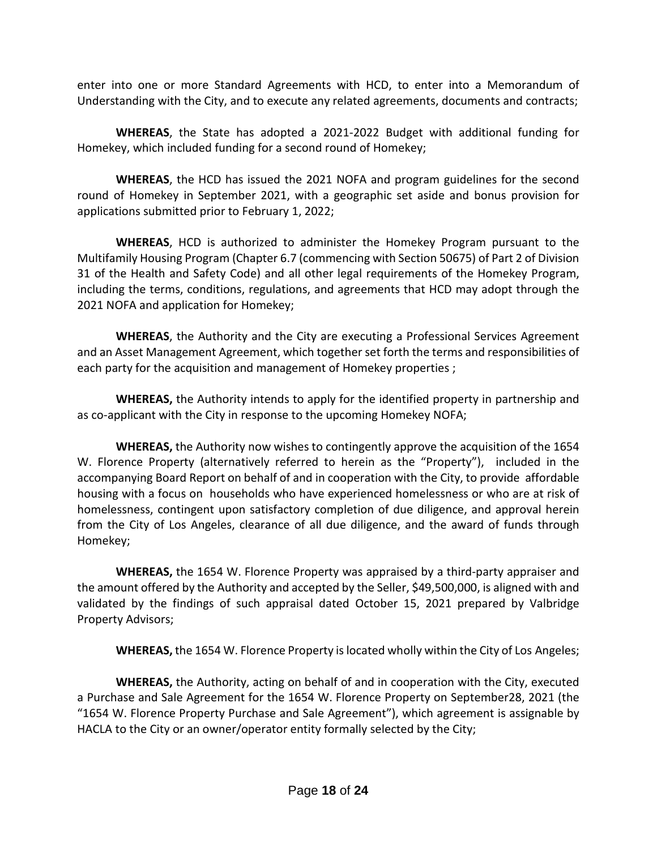enter into one or more Standard Agreements with HCD, to enter into a Memorandum of Understanding with the City, and to execute any related agreements, documents and contracts;

**WHEREAS**, the State has adopted a 2021-2022 Budget with additional funding for Homekey, which included funding for a second round of Homekey;

**WHEREAS**, the HCD has issued the 2021 NOFA and program guidelines for the second round of Homekey in September 2021, with a geographic set aside and bonus provision for applications submitted prior to February 1, 2022;

**WHEREAS**, HCD is authorized to administer the Homekey Program pursuant to the Multifamily Housing Program (Chapter 6.7 (commencing with Section 50675) of Part 2 of Division 31 of the Health and Safety Code) and all other legal requirements of the Homekey Program, including the terms, conditions, regulations, and agreements that HCD may adopt through the 2021 NOFA and application for Homekey;

**WHEREAS**, the Authority and the City are executing a Professional Services Agreement and an Asset Management Agreement, which together set forth the terms and responsibilities of each party for the acquisition and management of Homekey properties ;

**WHEREAS,** the Authority intends to apply for the identified property in partnership and as co-applicant with the City in response to the upcoming Homekey NOFA;

**WHEREAS,** the Authority now wishes to contingently approve the acquisition of the 1654 W. Florence Property (alternatively referred to herein as the "Property"), included in the accompanying Board Report on behalf of and in cooperation with the City, to provide affordable housing with a focus on households who have experienced homelessness or who are at risk of homelessness, contingent upon satisfactory completion of due diligence, and approval herein from the City of Los Angeles, clearance of all due diligence, and the award of funds through Homekey;

**WHEREAS,** the 1654 W. Florence Property was appraised by a third-party appraiser and the amount offered by the Authority and accepted by the Seller, \$49,500,000, is aligned with and validated by the findings of such appraisal dated October 15, 2021 prepared by Valbridge Property Advisors;

**WHEREAS,** the 1654 W. Florence Property islocated wholly within the City of Los Angeles;

**WHEREAS,** the Authority, acting on behalf of and in cooperation with the City, executed a Purchase and Sale Agreement for the 1654 W. Florence Property on September28, 2021 (the "1654 W. Florence Property Purchase and Sale Agreement"), which agreement is assignable by HACLA to the City or an owner/operator entity formally selected by the City;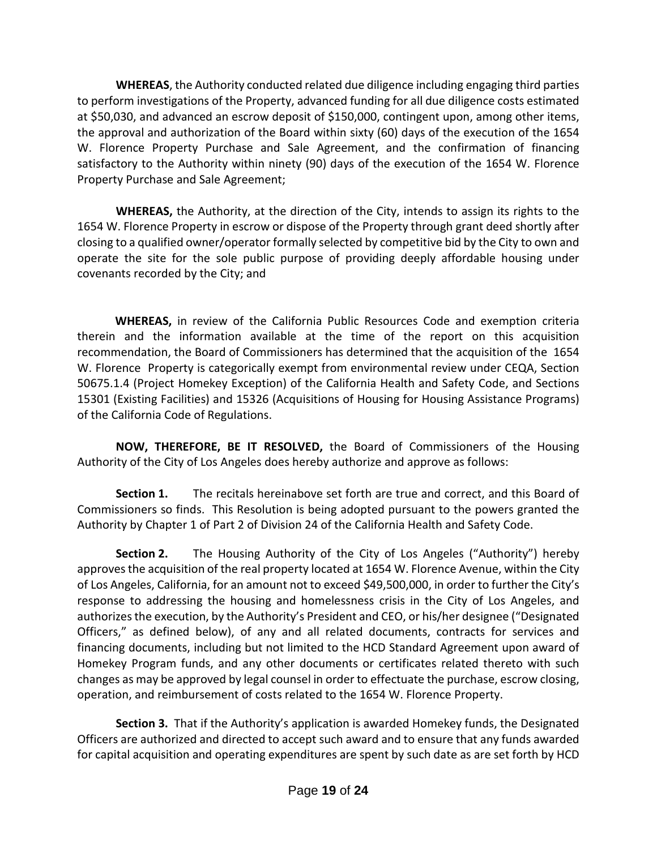**WHEREAS**, the Authority conducted related due diligence including engaging third parties to perform investigations of the Property, advanced funding for all due diligence costs estimated at \$50,030, and advanced an escrow deposit of \$150,000, contingent upon, among other items, the approval and authorization of the Board within sixty (60) days of the execution of the 1654 W. Florence Property Purchase and Sale Agreement, and the confirmation of financing satisfactory to the Authority within ninety (90) days of the execution of the 1654 W. Florence Property Purchase and Sale Agreement;

**WHEREAS,** the Authority, at the direction of the City, intends to assign its rights to the 1654 W. Florence Property in escrow or dispose of the Property through grant deed shortly after closing to a qualified owner/operator formally selected by competitive bid by the City to own and operate the site for the sole public purpose of providing deeply affordable housing under covenants recorded by the City; and

 **WHEREAS,** in review of the California Public Resources Code and exemption criteria therein and the information available at the time of the report on this acquisition recommendation, the Board of Commissioners has determined that the acquisition of the 1654 W. Florence Property is categorically exempt from environmental review under CEQA, Section 50675.1.4 (Project Homekey Exception) of the California Health and Safety Code, and Sections 15301 (Existing Facilities) and 15326 (Acquisitions of Housing for Housing Assistance Programs) of the California Code of Regulations.

**NOW, THEREFORE, BE IT RESOLVED,** the Board of Commissioners of the Housing Authority of the City of Los Angeles does hereby authorize and approve as follows:

**Section 1.** The recitals hereinabove set forth are true and correct, and this Board of Commissioners so finds. This Resolution is being adopted pursuant to the powers granted the Authority by Chapter 1 of Part 2 of Division 24 of the California Health and Safety Code.

**Section 2.** The Housing Authority of the City of Los Angeles ("Authority") hereby approves the acquisition of the real property located at 1654 W. Florence Avenue, within the City of Los Angeles, California, for an amount not to exceed \$49,500,000, in order to further the City's response to addressing the housing and homelessness crisis in the City of Los Angeles, and authorizes the execution, by the Authority's President and CEO, or his/her designee ("Designated Officers," as defined below), of any and all related documents, contracts for services and financing documents, including but not limited to the HCD Standard Agreement upon award of Homekey Program funds, and any other documents or certificates related thereto with such changes as may be approved by legal counsel in order to effectuate the purchase, escrow closing, operation, and reimbursement of costs related to the 1654 W. Florence Property.

**Section 3.** That if the Authority's application is awarded Homekey funds, the Designated Officers are authorized and directed to accept such award and to ensure that any funds awarded for capital acquisition and operating expenditures are spent by such date as are set forth by HCD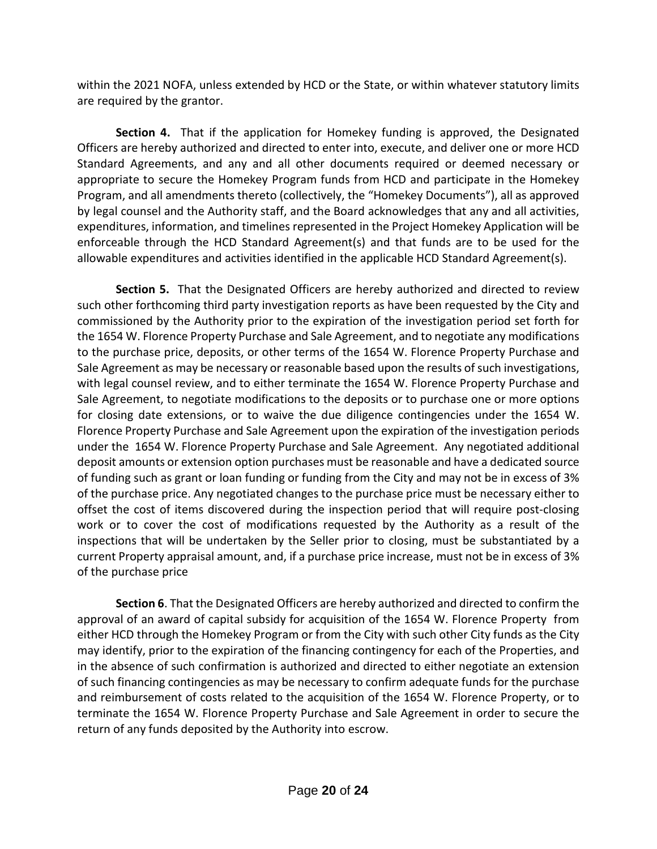within the 2021 NOFA, unless extended by HCD or the State, or within whatever statutory limits are required by the grantor.

**Section 4.** That if the application for Homekey funding is approved, the Designated Officers are hereby authorized and directed to enter into, execute, and deliver one or more HCD Standard Agreements, and any and all other documents required or deemed necessary or appropriate to secure the Homekey Program funds from HCD and participate in the Homekey Program, and all amendments thereto (collectively, the "Homekey Documents"), all as approved by legal counsel and the Authority staff, and the Board acknowledges that any and all activities, expenditures, information, and timelines represented in the Project Homekey Application will be enforceable through the HCD Standard Agreement(s) and that funds are to be used for the allowable expenditures and activities identified in the applicable HCD Standard Agreement(s).

**Section 5.** That the Designated Officers are hereby authorized and directed to review such other forthcoming third party investigation reports as have been requested by the City and commissioned by the Authority prior to the expiration of the investigation period set forth for the 1654 W. Florence Property Purchase and Sale Agreement, and to negotiate any modifications to the purchase price, deposits, or other terms of the 1654 W. Florence Property Purchase and Sale Agreement as may be necessary or reasonable based upon the results of such investigations, with legal counsel review, and to either terminate the 1654 W. Florence Property Purchase and Sale Agreement, to negotiate modifications to the deposits or to purchase one or more options for closing date extensions, or to waive the due diligence contingencies under the 1654 W. Florence Property Purchase and Sale Agreement upon the expiration of the investigation periods under the 1654 W. Florence Property Purchase and Sale Agreement. Any negotiated additional deposit amounts or extension option purchases must be reasonable and have a dedicated source of funding such as grant or loan funding or funding from the City and may not be in excess of 3% of the purchase price. Any negotiated changes to the purchase price must be necessary either to offset the cost of items discovered during the inspection period that will require post-closing work or to cover the cost of modifications requested by the Authority as a result of the inspections that will be undertaken by the Seller prior to closing, must be substantiated by a current Property appraisal amount, and, if a purchase price increase, must not be in excess of 3% of the purchase price

**Section 6**. That the Designated Officers are hereby authorized and directed to confirm the approval of an award of capital subsidy for acquisition of the 1654 W. Florence Property from either HCD through the Homekey Program or from the City with such other City funds as the City may identify, prior to the expiration of the financing contingency for each of the Properties, and in the absence of such confirmation is authorized and directed to either negotiate an extension of such financing contingencies as may be necessary to confirm adequate funds for the purchase and reimbursement of costs related to the acquisition of the 1654 W. Florence Property, or to terminate the 1654 W. Florence Property Purchase and Sale Agreement in order to secure the return of any funds deposited by the Authority into escrow.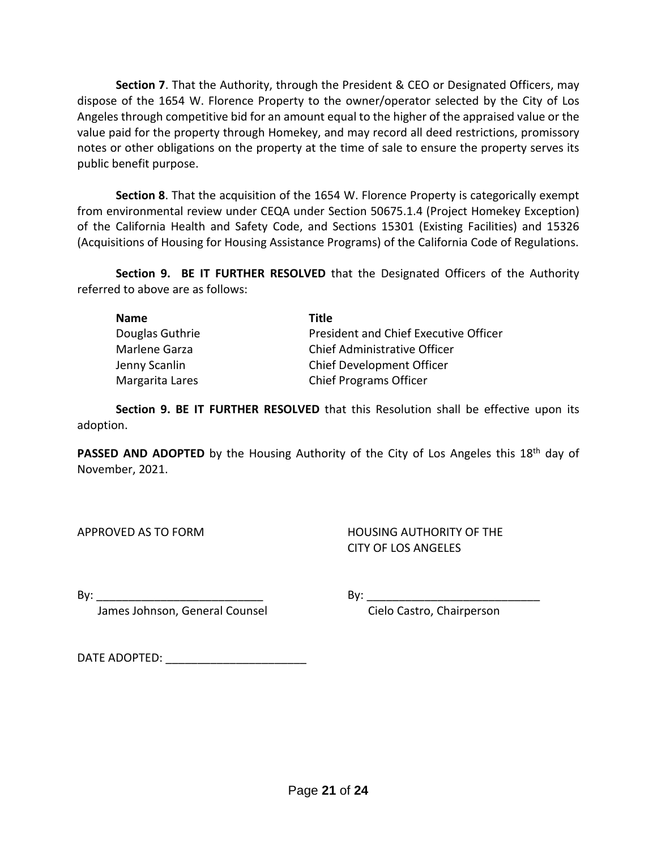**Section 7**. That the Authority, through the President & CEO or Designated Officers, may dispose of the 1654 W. Florence Property to the owner/operator selected by the City of Los Angeles through competitive bid for an amount equal to the higher of the appraised value or the value paid for the property through Homekey, and may record all deed restrictions, promissory notes or other obligations on the property at the time of sale to ensure the property serves its public benefit purpose.

**Section 8**. That the acquisition of the 1654 W. Florence Property is categorically exempt from environmental review under CEQA under Section 50675.1.4 (Project Homekey Exception) of the California Health and Safety Code, and Sections 15301 (Existing Facilities) and 15326 (Acquisitions of Housing for Housing Assistance Programs) of the California Code of Regulations.

**Section 9. BE IT FURTHER RESOLVED** that the Designated Officers of the Authority referred to above are as follows:

| <b>Name</b>     | Title                                 |
|-----------------|---------------------------------------|
| Douglas Guthrie | President and Chief Executive Officer |
| Marlene Garza   | Chief Administrative Officer          |
| Jenny Scanlin   | Chief Development Officer             |
| Margarita Lares | <b>Chief Programs Officer</b>         |

**Section 9. BE IT FURTHER RESOLVED** that this Resolution shall be effective upon its adoption.

**PASSED AND ADOPTED** by the Housing Authority of the City of Los Angeles this 18<sup>th</sup> day of November, 2021.

APPROVED AS TO FORM HOUSING AUTHORITY OF THE CITY OF LOS ANGELES

By: \_\_\_\_\_\_\_\_\_\_\_\_\_\_\_\_\_\_\_\_\_\_\_\_\_\_ By: \_\_\_\_\_\_\_\_\_\_\_\_\_\_\_\_\_\_\_\_\_\_\_\_\_\_\_

James Johnson, General Counsel **Constanding Communist Cielo Castro, Chairperson** 

DATE ADOPTED:  $\blacksquare$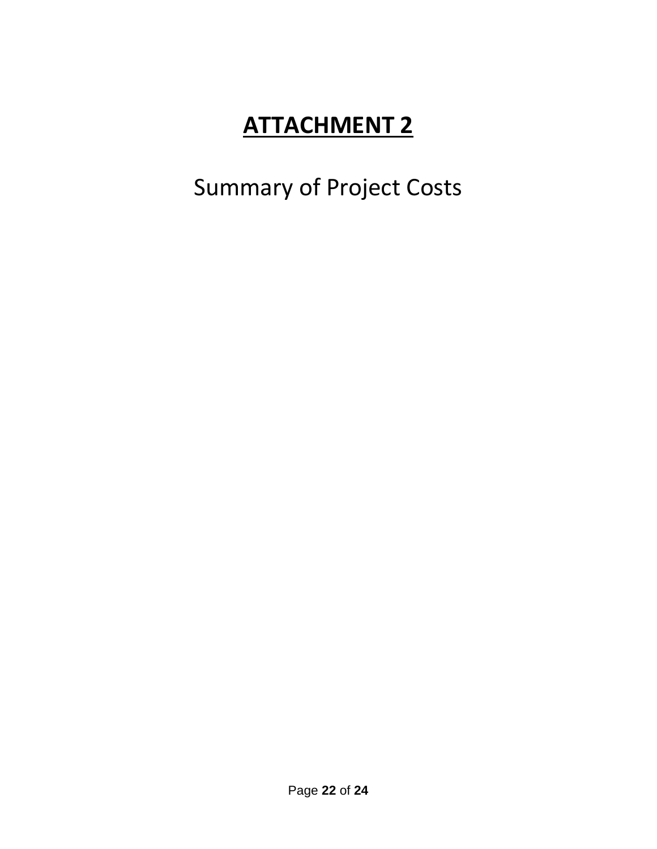# Summary of Project Costs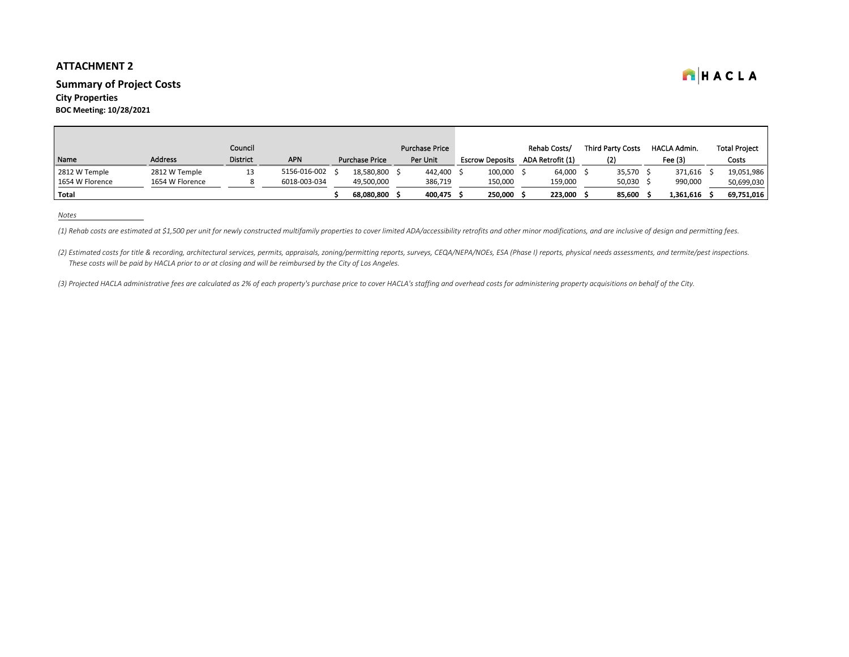# **Summary of Project Costs**

# **City Properties**

**BOC Meeting: 10/28/2021**

*Notes*

(1) Rehab costs are estimated at \$1,500 per unit for newly constructed multifamily properties to cover limited ADA/accessibility retrofits and other minor modifications, and are inclusive of design and permitting fees.

(2) Estimated costs for title & recording, architectural services, permits, appraisals, zoning/permitting reports, surveys, CEQA/NEPA/NOEs, ESA (Phase I) reports, physical needs assessments, and termite/pest inspections.  *These costs will be paid by HACLA prior to or at closing and will be reimbursed by the City of Los Angeles.*

|                 |                 | Council         |              |                       | <b>Purchase Price</b> |                        | Rehab Costs/     | <b>Third Party Costs</b> | HACLA Admin. | <b>Total Project</b> |
|-----------------|-----------------|-----------------|--------------|-----------------------|-----------------------|------------------------|------------------|--------------------------|--------------|----------------------|
| Name            | <b>Address</b>  | <b>District</b> | <b>APN</b>   | <b>Purchase Price</b> | Per Unit              | <b>Escrow Deposits</b> | ADA Retrofit (1) | (2)                      | Fee $(3)$    | Costs                |
| 2812 W Temple   | 2812 W Temple   | 13              | 5156-016-002 | 18,580,800            | 442,400               | 100,000                | 64,000 \$        | 35,570                   | 371,616      | 19,051,986           |
| 1654 W Florence | 1654 W Florence |                 | 6018-003-034 | 49,500,000            | 386,719               | 150,000                | 159,000          | 50,030                   | 990,000      | 50,699,030           |
| <b>Total</b>    |                 |                 |              | 68,080,800            | 400,475               | 250,000                | 223,000          | 85,600                   | 1,361,616    | 69,751,016           |

*(3) Projected HACLA administrative fees are calculated as 2% of each property's purchase price to cover HACLA's staffing and overhead costs for administering property acquisitions on behalf of the City.*

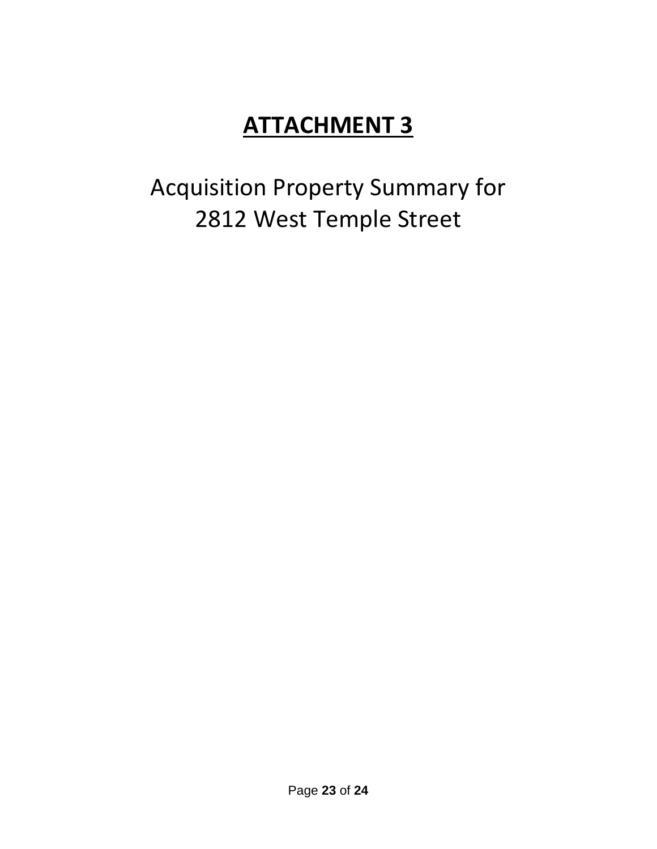Acquisition Property Summary for 2812 West Temple Street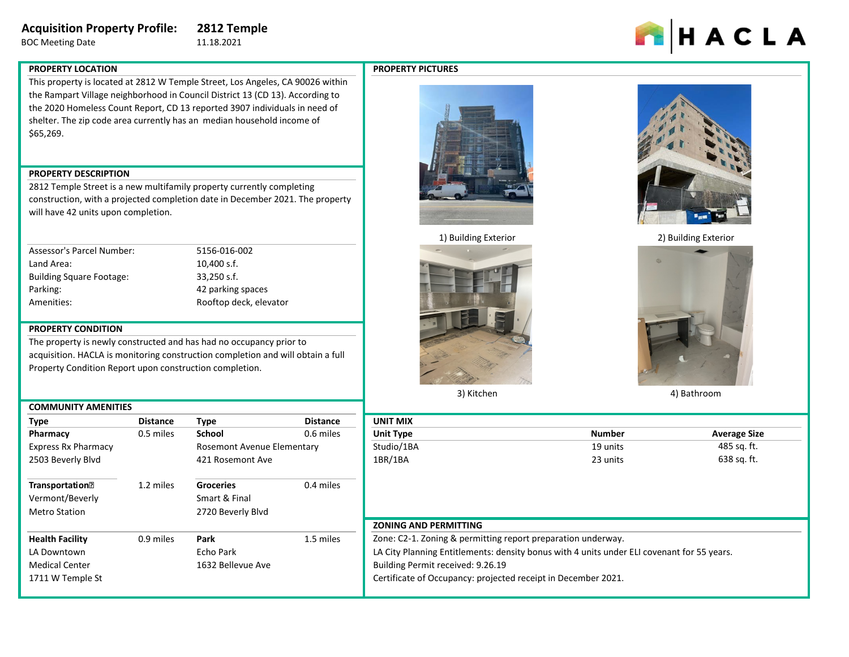# **Acquisition Property Profile: 2812 Temple**

BOC Meeting Date 11.18.2021

# HACLA

# **PROPERTY LOCATION**

**PROPERTY PICTURES**



This property is located at 2812 W Temple Street, Los Angeles, CA 90026 within the Rampart Village neighborhood in Council District 13 (CD 13). According to the 2020 Homeless Count Report, CD 13 reported 3907 individuals in need of shelter. The zip code area currently has an median household income of \$65,269.

# **PROPERTY DESCRIPTION**

2812 Temple Street is a new multifamily property currently completing construction, with a projected completion date in December 2021. The property will have 42 units upon completion.

| Assessor's Parcel Number:       |
|---------------------------------|
| Land Area:                      |
| <b>Building Square Footage:</b> |
| Parking:                        |
| Amenities:                      |

5156-016-002 10,400 s.f.  $33,250$  s.f. 42 parking spaces Rooftop deck, elevator

# **PROPERTY CONDITION**

The property is newly constructed and has had no occupancy prior to acquisition. HACLA is monitoring construction completion and will obtain a full Property Condition Report upon construction completion.

|                                    | <b>COMMUNITY AMENITIES</b> |                                   |                 |  |  |  |  |
|------------------------------------|----------------------------|-----------------------------------|-----------------|--|--|--|--|
| <b>Type</b>                        | <b>Distance</b>            | <b>Type</b>                       | <b>Distance</b> |  |  |  |  |
| Pharmacy                           | 0.5 miles                  | <b>School</b>                     | 0.6 miles       |  |  |  |  |
| <b>Express Rx Pharmacy</b>         |                            | <b>Rosemont Avenue Elementary</b> |                 |  |  |  |  |
| 2503 Beverly Blvd                  |                            | 421 Rosemont Ave                  |                 |  |  |  |  |
|                                    |                            |                                   |                 |  |  |  |  |
| <b>Transportation</b> <sup>®</sup> | 1.2 miles                  | <b>Groceries</b>                  | 0.4 miles       |  |  |  |  |
| Vermont/Beverly                    |                            | Smart & Final                     |                 |  |  |  |  |
| <b>Metro Station</b>               |                            | 2720 Beverly Blvd                 |                 |  |  |  |  |
|                                    |                            |                                   |                 |  |  |  |  |
| <b>Health Facility</b>             | 0.9 miles                  | Park                              | 1.5 miles       |  |  |  |  |
| LA Downtown                        |                            | Echo Park                         |                 |  |  |  |  |
| <b>Medical Center</b>              |                            | 1632 Bellevue Ave                 |                 |  |  |  |  |
| 1711 W Temple St                   |                            |                                   |                 |  |  |  |  |
|                                    |                            |                                   |                 |  |  |  |  |



1) Building Exterior 2) Building Exterior



3) Kitchen





4) Bathroom

| Type                               | <b>Distance</b> | <b>Type</b>                       | <b>Distance</b> | <b>UNIT MIX</b>                                               |                                                                                            |                     |
|------------------------------------|-----------------|-----------------------------------|-----------------|---------------------------------------------------------------|--------------------------------------------------------------------------------------------|---------------------|
| Pharmacy                           | 0.5 miles       | <b>School</b>                     | 0.6 miles       | <b>Unit Type</b>                                              | <b>Number</b>                                                                              | <b>Average Size</b> |
| <b>Express Rx Pharmacy</b>         |                 | <b>Rosemont Avenue Elementary</b> |                 | Studio/1BA                                                    | 19 units                                                                                   | 485 sq. ft.         |
| 2503 Beverly Blvd                  |                 | 421 Rosemont Ave                  |                 | 1BR/1BA                                                       | 23 units                                                                                   | 638 sq. ft.         |
| <b>Transportation</b> <sup>?</sup> | 1.2 miles       | <b>Groceries</b>                  | 0.4 miles       |                                                               |                                                                                            |                     |
| Vermont/Beverly                    |                 | Smart & Final                     |                 |                                                               |                                                                                            |                     |
| <b>Metro Station</b>               |                 | 2720 Beverly Blvd                 |                 |                                                               |                                                                                            |                     |
|                                    |                 |                                   |                 | <b>ZONING AND PERMITTING</b>                                  |                                                                                            |                     |
| <b>Health Facility</b>             | 0.9 miles       | <b>Park</b>                       | L.5 miles       | Zone: C2-1. Zoning & permitting report preparation underway.  |                                                                                            |                     |
| LA Downtown                        |                 | Echo Park                         |                 |                                                               | LA City Planning Entitlements: density bonus with 4 units under ELI covenant for 55 years. |                     |
| <b>Medical Center</b>              |                 | 1632 Bellevue Ave                 |                 | Building Permit received: 9.26.19                             |                                                                                            |                     |
| 1711 W Temple St                   |                 |                                   |                 | Certificate of Occupancy: projected receipt in December 2021. |                                                                                            |                     |
|                                    |                 |                                   |                 |                                                               |                                                                                            |                     |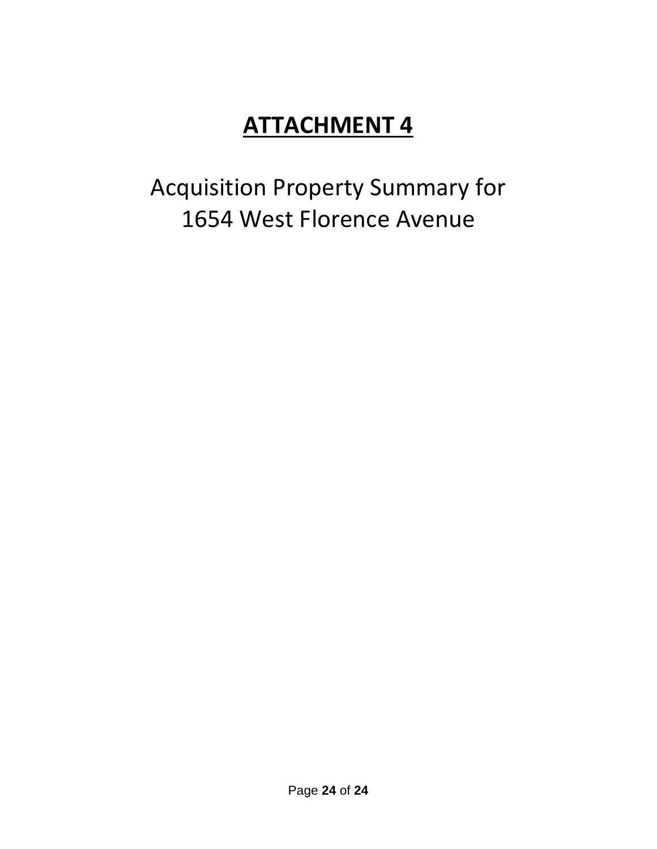Acquisition Property Summary for 1654 West Florence Avenue